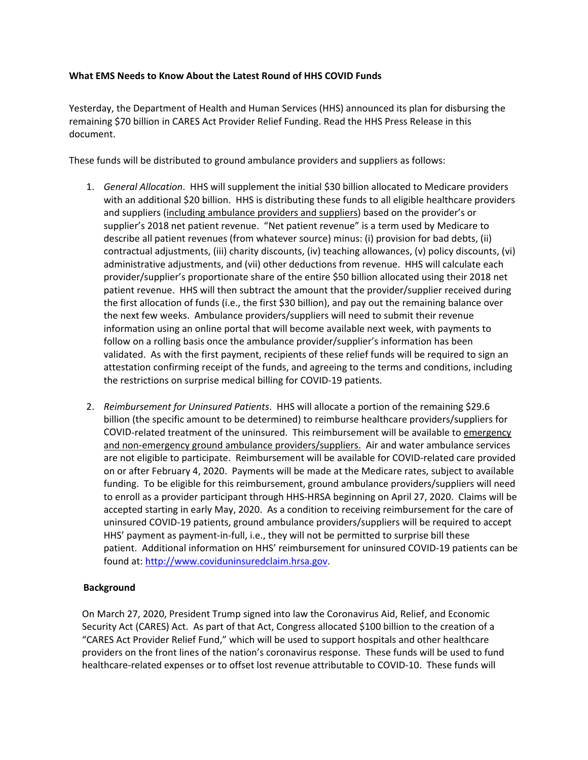#### **What EMS Needs to Know About the Latest Round of HHS COVID Funds**

Yesterday, the Department of Health and Human Services (HHS) announced its plan for disbursing the remaining \$70 billion in CARES Act Provider Relief Funding. Read the HHS Press Release in this document.

These funds will be distributed to ground ambulance providers and suppliers as follows:

- 1. *General Allocation*. HHS will supplement the initial \$30 billion allocated to Medicare providers with an additional \$20 billion. HHS is distributing these funds to all eligible healthcare providers and suppliers (including ambulance providers and suppliers) based on the provider's or supplier's 2018 net patient revenue. "Net patient revenue" is a term used by Medicare to describe all patient revenues (from whatever source) minus: (i) provision for bad debts, (ii) contractual adjustments, (iii) charity discounts, (iv) teaching allowances, (v) policy discounts, (vi) administrative adjustments, and (vii) other deductions from revenue. HHS will calculate each provider/supplier's proportionate share of the entire \$50 billion allocated using their 2018 net patient revenue. HHS will then subtract the amount that the provider/supplier received during the first allocation of funds (i.e., the first \$30 billion), and pay out the remaining balance over the next few weeks. Ambulance providers/suppliers will need to submit their revenue information using an online portal that will become available next week, with payments to follow on a rolling basis once the ambulance provider/supplier's information has been validated. As with the first payment, recipients of these relief funds will be required to sign an attestation confirming receipt of the funds, and agreeing to the terms and conditions, including the restrictions on surprise medical billing for COVID‐19 patients.
- 2. *Reimbursement for Uninsured Patients*. HHS will allocate a portion of the remaining \$29.6 billion (the specific amount to be determined) to reimburse healthcare providers/suppliers for COVID‐related treatment of the uninsured. This reimbursement will be available to emergency and non‐emergency ground ambulance providers/suppliers. Air and water ambulance services are not eligible to participate.Reimbursement will be available for COVID‐related care provided on or after February 4, 2020. Payments will be made at the Medicare rates, subject to available funding. To be eligible for this reimbursement, ground ambulance providers/suppliers will need to enroll as a provider participant through HHS‐HRSA beginning on April 27, 2020. Claims will be accepted starting in early May, 2020. As a condition to receiving reimbursement for the care of uninsured COVID‐19 patients, ground ambulance providers/suppliers will be required to accept HHS' payment as payment‐in‐full, i.e., they will not be permitted to surprise bill these patient. Additional information on HHS' reimbursement for uninsured COVID‐19 patients can be found at: http://www.coviduninsuredclaim.hrsa.gov.

### **Background**

On March 27, 2020, President Trump signed into law the Coronavirus Aid, Relief, and Economic Security Act (CARES) Act. As part of that Act, Congress allocated \$100 billion to the creation of a "CARES Act Provider Relief Fund," which will be used to support hospitals and other healthcare providers on the front lines of the nation's coronavirus response. These funds will be used to fund healthcare‐related expenses or to offset lost revenue attributable to COVID‐10. These funds will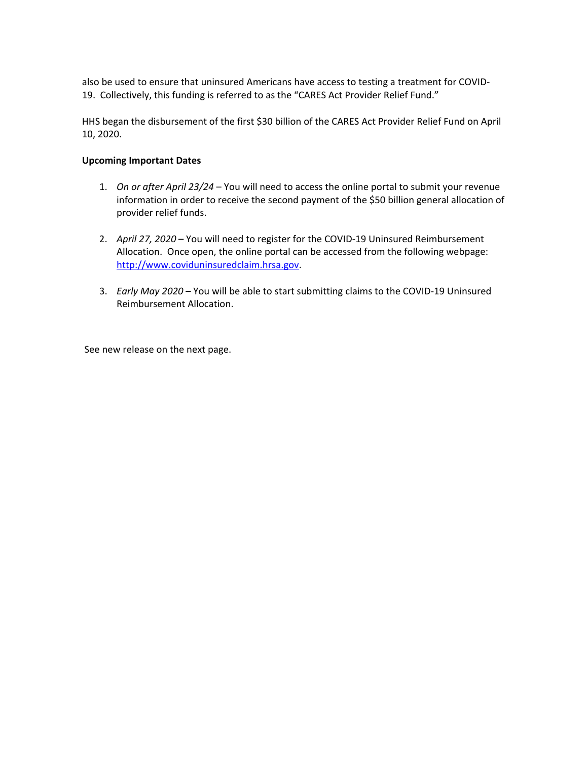also be used to ensure that uninsured Americans have access to testing a treatment for COVID‐ 19. Collectively, this funding is referred to as the "CARES Act Provider Relief Fund."

HHS began the disbursement of the first \$30 billion of the CARES Act Provider Relief Fund on April 10, 2020.

#### **Upcoming Important Dates**

- 1. *On or after April 23/24* You will need to access the online portal to submit your revenue information in order to receive the second payment of the \$50 billion general allocation of provider relief funds.
- 2. *April 27, 2020* You will need to register for the COVID‐19 Uninsured Reimbursement Allocation. Once open, the online portal can be accessed from the following webpage: http://www.coviduninsuredclaim.hrsa.gov.
- 3. *Early May 2020* You will be able to start submitting claims to the COVID‐19 Uninsured Reimbursement Allocation.

See new release on the next page.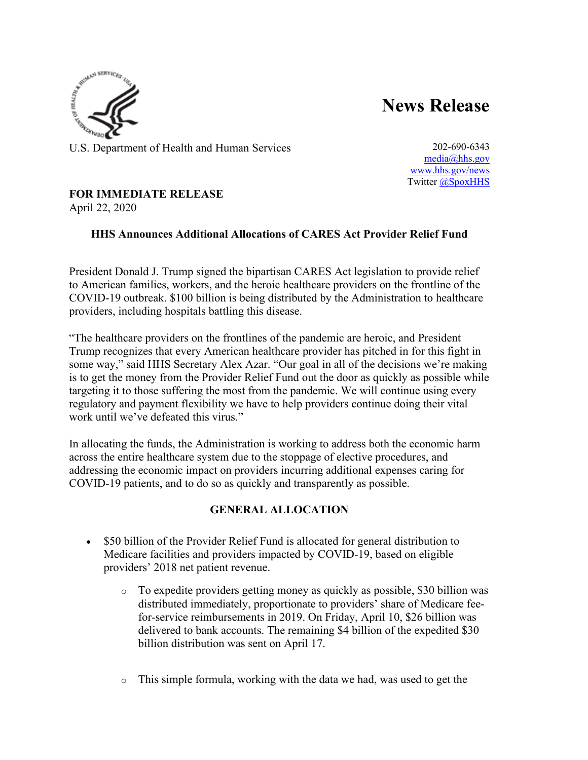

**News Release**

U.S. Department of Health and Human Services 202-690-6343

[media@hhs.gov](mailto:media@hhs.gov) [www.hhs.gov/news](https://nam11.safelinks.protection.outlook.com/?url=https%3A%2F%2Fu7061146.ct.sendgrid.net%2Fls%2Fclick%3Fupn%3DTeZUXWpUv-2B6TCY38pVLo9gmYAnCk9vEtZQp7oL2wrb1lgM68xFGZy-2FQdN-2F4X8wTSVDhR_A-2FnmAXX-2BlRfb-2F0HFnCis70LAZyAVxNX-2Ba-2BinacdlkhulzVoncHXmmPE1QVhUTOsSm6lXROnZKKUmae9V3VLcWy5bYm1GFKZYUbZ7lIVV2xHMM4fb49SjBKA44tjivspOyP2HzJn38mvMcLiMuCEzl-2FqKOYKj8YrnFl2vZ8SJV5epB1IHGNEeMVHYV1YbeXrDic-2BLgNL6ds45VuLN0573Q8nzNjW0tfbitSvO-2FqSrrxpeWS6qb8x5xa-2F7CpCjydav-2BCbTlowAVIiOjYzwt0niOexqpt0CP7O7xr0q48c-2Fc1bVsffF8Z6EKl47f7O0vpG1SzBqjiV61js4ROcv1ENjYY-2FrC9Y4t55hqLqpQwsyrko-3D&data=02%7C01%7C%7C506b383eb65b444dce3108d7e6eb904f%7C86c0e625486c4605be4d2eb57c638f37%7C1%7C0%7C637231771729620435&sdata=0a9%2BwFuyxCiTgsCaoXJwq%2B%2FQDQFUklF5dJX79%2Bdsy70%3D&reserved=0) Twitter [@SpoxHHS](https://nam11.safelinks.protection.outlook.com/?url=https%3A%2F%2Fu7061146.ct.sendgrid.net%2Fls%2Fclick%3Fupn%3DiesGENwk9ZVmCixsbOYoOBPPl-2BMRHWC4ASedeK5eGsrPJSC5Ezg1y0szprsCqd-2FGEvk2_A-2FnmAXX-2BlRfb-2F0HFnCis70LAZyAVxNX-2Ba-2BinacdlkhulzVoncHXmmPE1QVhUTOsSm6lXROnZKKUmae9V3VLcWy5bYm1GFKZYUbZ7lIVV2xHMM4fb49SjBKA44tjivspOyP2HzJn38mvMcLiMuCEzl-2FqKOYKj8YrnFl2vZ8SJV5epB1IHGNEeMVHYV1YbeXrDic-2BLgNL6ds45VuLN0573Q1-2FS-2FoSxvjVhqId8yk538e13YyPux2HgHunagol2x5moOidTuzkey18G8KiQoeA4mx2WZOIVzoZ4Kg4F3Wt3rh5LEFHN5mufqPtHJBGG9WRIixYy-2B8kxVLZaaJnfJzZltJX-2FogQkPLlu7qp0lPUygl4-3D&data=02%7C01%7C%7C506b383eb65b444dce3108d7e6eb904f%7C86c0e625486c4605be4d2eb57c638f37%7C1%7C0%7C637231771729620435&sdata=FBq5NXbDiwqZe%2BNlYNyEo5o6mek50sw4PYa2W2ZyJPw%3D&reserved=0)

# **FOR IMMEDIATE RELEASE**

April 22, 2020

# **HHS Announces Additional Allocations of CARES Act Provider Relief Fund**

President Donald J. Trump signed the bipartisan CARES Act legislation to provide relief to American families, workers, and the heroic healthcare providers on the frontline of the COVID-19 outbreak. \$100 billion is being distributed by the Administration to healthcare providers, including hospitals battling this disease.

"The healthcare providers on the frontlines of the pandemic are heroic, and President Trump recognizes that every American healthcare provider has pitched in for this fight in some way," said HHS Secretary Alex Azar. "Our goal in all of the decisions we're making is to get the money from the Provider Relief Fund out the door as quickly as possible while targeting it to those suffering the most from the pandemic. We will continue using every regulatory and payment flexibility we have to help providers continue doing their vital work until we've defeated this virus."

In allocating the funds, the Administration is working to address both the economic harm across the entire healthcare system due to the stoppage of elective procedures, and addressing the economic impact on providers incurring additional expenses caring for COVID-19 patients, and to do so as quickly and transparently as possible.

# **GENERAL ALLOCATION**

- \$50 billion of the Provider Relief Fund is allocated for general distribution to Medicare facilities and providers impacted by COVID-19, based on eligible providers' 2018 net patient revenue.
	- o To expedite providers getting money as quickly as possible, \$30 billion was distributed immediately, proportionate to providers' share of Medicare feefor-service reimbursements in 2019. On Friday, April 10, \$26 billion was delivered to bank accounts. The remaining \$4 billion of the expedited \$30 billion distribution was sent on April 17.
	- o This simple formula, working with the data we had, was used to get the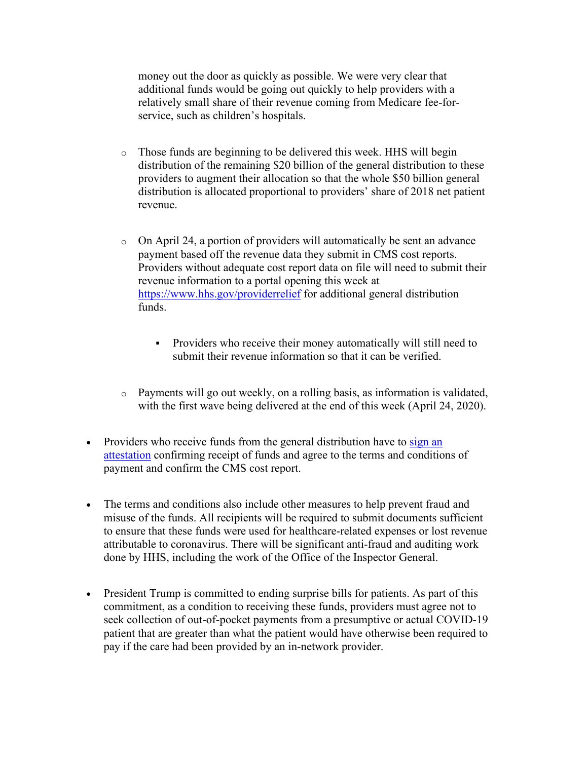money out the door as quickly as possible. We were very clear that additional funds would be going out quickly to help providers with a relatively small share of their revenue coming from Medicare fee-forservice, such as children's hospitals.

- o Those funds are beginning to be delivered this week. HHS will begin distribution of the remaining \$20 billion of the general distribution to these providers to augment their allocation so that the whole \$50 billion general distribution is allocated proportional to providers' share of 2018 net patient revenue.
- o On April 24, a portion of providers will automatically be sent an advance payment based off the revenue data they submit in CMS cost reports. Providers without adequate cost report data on file will need to submit their revenue information to a portal opening this week at [https://www.hhs.gov/providerrelief](https://nam11.safelinks.protection.outlook.com/?url=https%3A%2F%2Fu7061146.ct.sendgrid.net%2Fls%2Fclick%3Fupn%3DTeZUXWpUv-2B6TCY38pVLo9kyTfXpOa81n2HHn3Q7-2B1frZOnrv0I6qqsbdTmvFVEUkhhe0_A-2FnmAXX-2BlRfb-2F0HFnCis70LAZyAVxNX-2Ba-2BinacdlkhulzVoncHXmmPE1QVhUTOsSm6lXROnZKKUmae9V3VLcWy5bYm1GFKZYUbZ7lIVV2xHMM4fb49SjBKA44tjivspOyP2HzJn38mvMcLiMuCEzl-2FqKOYKj8YrnFl2vZ8SJV5epB1IHGNEeMVHYV1YbeXrDic-2BLgNL6ds45VuLN0573Q-2BouGe0GYhWQq-2FCqrocpdEOyaphBiELrvAtX5GhUa4wCqT5DM6HPJbhwDY-2Bfog6iVVPnO7hhlJ-2F-2BeU5Mk4EiavMfVVb2iLK7LrXTKXncXH3xI3PTA56QoEXUr1hz28SrPcdZGFYAtniWexCDC8NngkY-3D&data=02%7C01%7C%7C506b383eb65b444dce3108d7e6eb904f%7C86c0e625486c4605be4d2eb57c638f37%7C1%7C0%7C637231771729630428&sdata=UxilC3LK6WON4qakdGLV5SbBgbXeyHxMCiPTiJMhLpY%3D&reserved=0) for additional general distribution funds.
	- Providers who receive their money automatically will still need to submit their revenue information so that it can be verified.
- $\circ$  Payments will go out weekly, on a rolling basis, as information is validated, with the first wave being delivered at the end of this week (April 24, 2020).
- Providers who receive funds from the general distribution have to  $\frac{\sin \alpha}{\sin \alpha}$ [attestation](https://nam11.safelinks.protection.outlook.com/?url=https%3A%2F%2Fu7061146.ct.sendgrid.net%2Fls%2Fclick%3Fupn%3D4tNED-2FM8iDZJQyQ53jATUdYbiWeIfoPaQhKvdrm-2BigBRSc9H5Mnl-2BSONZiLDFeBLKTem_A-2FnmAXX-2BlRfb-2F0HFnCis70LAZyAVxNX-2Ba-2BinacdlkhulzVoncHXmmPE1QVhUTOsSm6lXROnZKKUmae9V3VLcWy5bYm1GFKZYUbZ7lIVV2xHMM4fb49SjBKA44tjivspOyP2HzJn38mvMcLiMuCEzl-2FqKOYKj8YrnFl2vZ8SJV5epB1IHGNEeMVHYV1YbeXrDic-2BLgNL6ds45VuLN0573Q7za-2FDX6NYCiW0lZl37H9INzBxiu3B5mUSIQ2jETlXOXdL3cXrIFTAeWdSkPfwo8-2FfxFPkLMO1xRWSWzMA8yIsK7pF5PjS6LuXKwQ-2B31a2nc4xY1cGy3BQiOZFsHkg0Zbx0u0HYgrjrqtpgOnjx6xsU-3D&data=02%7C01%7C%7C506b383eb65b444dce3108d7e6eb904f%7C86c0e625486c4605be4d2eb57c638f37%7C1%7C0%7C637231771729630428&sdata=AfYAgkcckRF9vef%2Fx270Cb4DqqbtHcfnVzr9iacMfd8%3D&reserved=0) confirming receipt of funds and agree to the terms and conditions of payment and confirm the CMS cost report.
- The terms and conditions also include other measures to help prevent fraud and misuse of the funds. All recipients will be required to submit documents sufficient to ensure that these funds were used for healthcare-related expenses or lost revenue attributable to coronavirus. There will be significant anti-fraud and auditing work done by HHS, including the work of the Office of the Inspector General.
- President Trump is committed to ending surprise bills for patients. As part of this commitment, as a condition to receiving these funds, providers must agree not to seek collection of out-of-pocket payments from a presumptive or actual COVID-19 patient that are greater than what the patient would have otherwise been required to pay if the care had been provided by an in-network provider.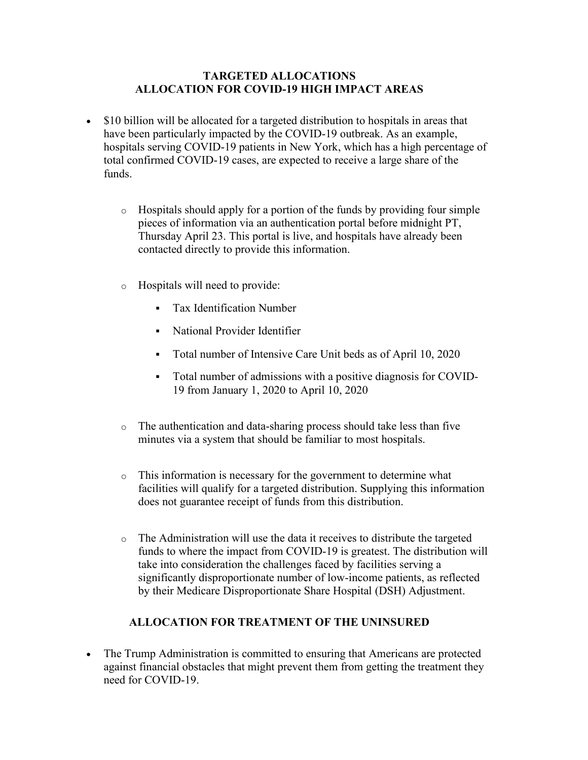### **TARGETED ALLOCATIONS ALLOCATION FOR COVID-19 HIGH IMPACT AREAS**

- \$10 billion will be allocated for a targeted distribution to hospitals in areas that have been particularly impacted by the COVID-19 outbreak. As an example, hospitals serving COVID-19 patients in New York, which has a high percentage of total confirmed COVID-19 cases, are expected to receive a large share of the funds.
	- o Hospitals should apply for a portion of the funds by providing four simple pieces of information via an authentication portal before midnight PT, Thursday April 23. This portal is live, and hospitals have already been contacted directly to provide this information.
	- o Hospitals will need to provide:
		- Tax Identification Number
		- National Provider Identifier
		- Total number of Intensive Care Unit beds as of April 10, 2020
		- Total number of admissions with a positive diagnosis for COVID-19 from January 1, 2020 to April 10, 2020
	- o The authentication and data-sharing process should take less than five minutes via a system that should be familiar to most hospitals.
	- o This information is necessary for the government to determine what facilities will qualify for a targeted distribution. Supplying this information does not guarantee receipt of funds from this distribution.
	- o The Administration will use the data it receives to distribute the targeted funds to where the impact from COVID-19 is greatest. The distribution will take into consideration the challenges faced by facilities serving a significantly disproportionate number of low-income patients, as reflected by their Medicare Disproportionate Share Hospital (DSH) Adjustment.

## **ALLOCATION FOR TREATMENT OF THE UNINSURED**

• The Trump Administration is committed to ensuring that Americans are protected against financial obstacles that might prevent them from getting the treatment they need for COVID-19.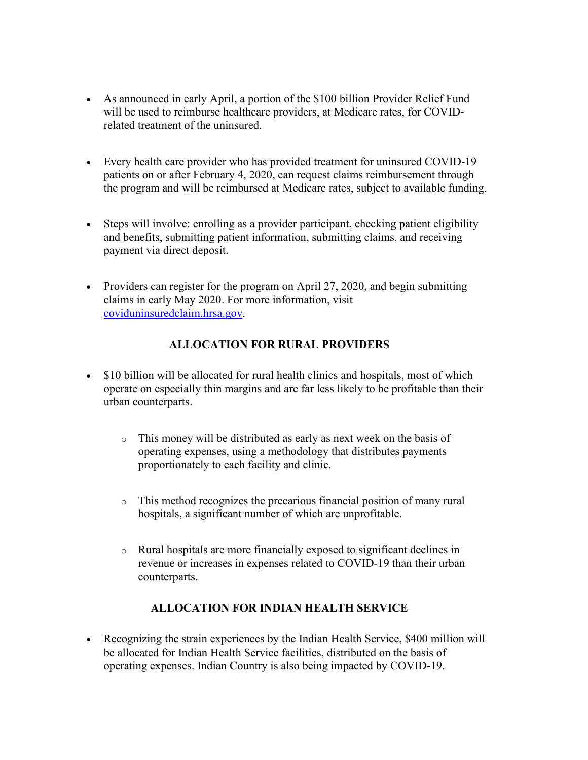- As announced in early April, a portion of the \$100 billion Provider Relief Fund will be used to reimburse healthcare providers, at Medicare rates, for COVIDrelated treatment of the uninsured.
- Every health care provider who has provided treatment for uninsured COVID-19 patients on or after February 4, 2020, can request claims reimbursement through the program and will be reimbursed at Medicare rates, subject to available funding.
- Steps will involve: enrolling as a provider participant, checking patient eligibility and benefits, submitting patient information, submitting claims, and receiving payment via direct deposit.
- Providers can register for the program on April 27, 2020, and begin submitting claims in early May 2020. For more information, visit [coviduninsuredclaim.hrsa.gov.](https://nam11.safelinks.protection.outlook.com/?url=https%3A%2F%2Fu7061146.ct.sendgrid.net%2Fls%2Fclick%3Fupn%3Dqa2IbKGitjgQYp6e-2BOdtLVONypncvfCGnCyVxBDPudv1s0plYJi5rSspHOnMJRn3crnW_A-2FnmAXX-2BlRfb-2F0HFnCis70LAZyAVxNX-2Ba-2BinacdlkhulzVoncHXmmPE1QVhUTOsSm6lXROnZKKUmae9V3VLcWy5bYm1GFKZYUbZ7lIVV2xHMM4fb49SjBKA44tjivspOyP2HzJn38mvMcLiMuCEzl-2FqKOYKj8YrnFl2vZ8SJV5epB1IHGNEeMVHYV1YbeXrDic-2BLgNL6ds45VuLN0573Qx3eWBqHhPXe5tEKibZ-2BtUcO4QBhvx5sbuzeF2NK2Xp7T9GpLzYlBe-2FYiQAax7JbONwnU4WaUz3FwpUKQ-2Br431rxCCmvALwzvAxkO56U2gaICRxtNawU7WplHdMRfo-2BQANA1KjlxbCJcGTmcdIBnLwY-3D&data=02%7C01%7C%7C506b383eb65b444dce3108d7e6eb904f%7C86c0e625486c4605be4d2eb57c638f37%7C1%7C0%7C637231771729640421&sdata=xNB12jJx7T%2FzzQyl46qVVJ6AGwUsFFxhwd%2BerAtg9Vs%3D&reserved=0)

# **ALLOCATION FOR RURAL PROVIDERS**

- \$10 billion will be allocated for rural health clinics and hospitals, most of which operate on especially thin margins and are far less likely to be profitable than their urban counterparts.
	- o This money will be distributed as early as next week on the basis of operating expenses, using a methodology that distributes payments proportionately to each facility and clinic.
	- o This method recognizes the precarious financial position of many rural hospitals, a significant number of which are unprofitable.
	- o Rural hospitals are more financially exposed to significant declines in revenue or increases in expenses related to COVID-19 than their urban counterparts.

## **ALLOCATION FOR INDIAN HEALTH SERVICE**

• Recognizing the strain experiences by the Indian Health Service, \$400 million will be allocated for Indian Health Service facilities, distributed on the basis of operating expenses. Indian Country is also being impacted by COVID-19.